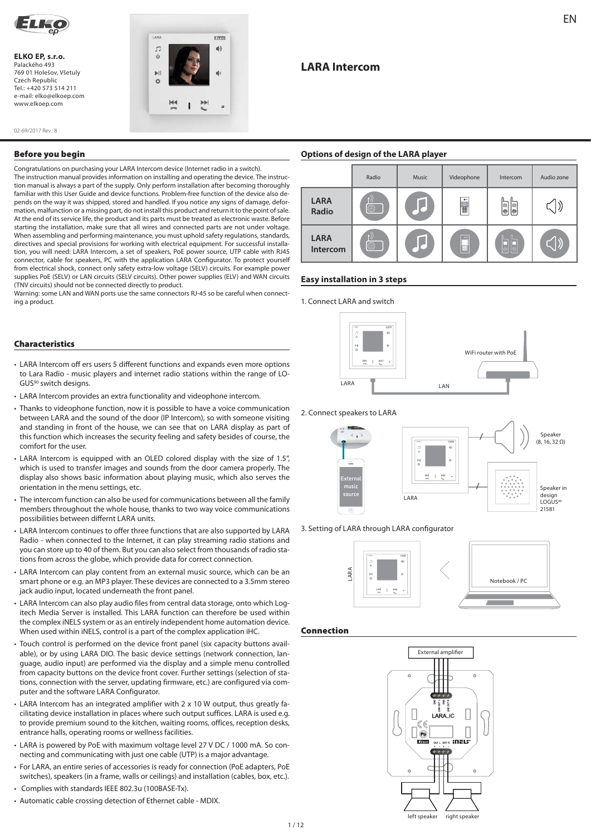

**ELKO EP, s.r.o.**  Palackého 493 769 01 Holešov, Všetuly Czech Republic  $T_{\Theta}$  $\left[ \frac{1}{4}$  +420 573 514 211 e-mail: elko@elkoep.com www.elkoep.com



02-69/2017 Rev.: 8

## **Before you begin**

Congratulations on purchasing your LARA Intercom device (Internet radio in a switch). The instruction manual provides information on installing and operating the device. The instruction manual is always a part of the supply. Only perform installation after becoming thoroughly familiar with this User Guide and device functions. Problem-free function of the device also depends on the way it was shipped, stored and handled. If you notice any signs of damage, deformation, malfunction or a missing part, do not install this product and return it to the point of sale. At the end of its service life, the product and its parts must be treated as electronic waste. Before starting the installation, make sure that all wires and connected parts are not under voltage. When assembling and performing maintenance, you must uphold safety regulations, standards, directives and special provisions for working with electrical equipment. For successful installation, you will need: LARA Intercom, a set of speakers, PoE power source, UTP cable with RJ45 connector, cable for speakers, PC with the application LARA Configurator. To protect yourself from electrical shock, connect only safety extra-low voltage (SELV) circuits. For example power supplies PoE (SELV) or LAN circuits (SELV circuits). Other power supplies (ELV) and WAN circuits (TNV circuits) should not be connected directly to product.

Warning: some LAN and WAN ports use the same connectors RJ-45 so be careful when connecting a product.

## **Characteristics**

- LARA Intercom off ers users 5 different functions and expands even more options to Lara Radio - music players and internet radio stations within the range of LO-GUS90 switch designs.
- LARA Intercom provides an extra functionality and videophone intercom.
- Thanks to videophone function, now it is possible to have a voice communication between LARA and the sound of the door (IP Intercom), so with someone visiting and standing in front of the house, we can see that on LARA display as part of this function which increases the security feeling and safety besides of course, the comfort for the user.
- LARA Intercom is equipped with an OLED colored display with the size of 1.5", which is used to transfer images and sounds from the door camera properly. The display also shows basic information about playing music, which also serves the orientation in the menu settings, etc.
- The intercom function can also be used for communications between all the family members throughout the whole house, thanks to two way voice communications possibilities between differnt LARA units.
- LARA Intercom continues to offer three functions that are also supported by LARA Radio - when connected to the Internet, it can play streaming radio stations and you can store up to 40 of them. But you can also select from thousands of radio stations from across the globe, which provide data for correct connection.
- LARA Intercom can play content from an external music source, which can be an smart phone or e.g. an MP3 player. These devices are connected to a 3.5mm stereo jack audio input, located underneath the front panel.
- LARA Intercom can also play audio files from central data storage, onto which Logitech Media Server is installed. This LARA function can therefore be used within the complex iNELS system or as an entirely independent home automation device. When used within iNELS, control is a part of the complex application iHC.
- Touch control is performed on the device front panel (six capacity buttons available), or by using LARA DIO. The basic device settings (network connection, language, audio input) are performed via the display and a simple menu controlled from capacity buttons on the device front cover. Further settings (selection of stations, connection with the server, updating firmware, etc.) are configured via computer and the software LARA Configurator.
- LARA Intercom has an integrated amplifier with 2 x 10 W output, thus greatly facilitating device installation in places where such output suffices. LARA is used e.g. to provide premium sound to the kitchen, waiting rooms, offices, reception desks, entrance halls, operating rooms or wellness facilities.
- LARA is powered by PoE with maximum voltage level 27 V DC / 1000 mA. So connecting and communicating with just one cable (UTP) is a major advantage.
- For LARA, an entire series of accessories is ready for connection (PoE adapters, PoE switches), speakers (in a frame, walls or ceilings) and installation (cables, box, etc.).
- Complies with standards IEEE 802.3u (100BASE-Tx).
- Automatic cable crossing detection of Ethernet cable MDIX.

# **LARA Intercom**

## **Options of design of the LARA player**



#### **Easy installation in 3 steps**

1. Connect LARA and switch



#### 2. Connect speakers to LARA



#### 3. Setting of LARA through LARA configurator



#### **Connection**

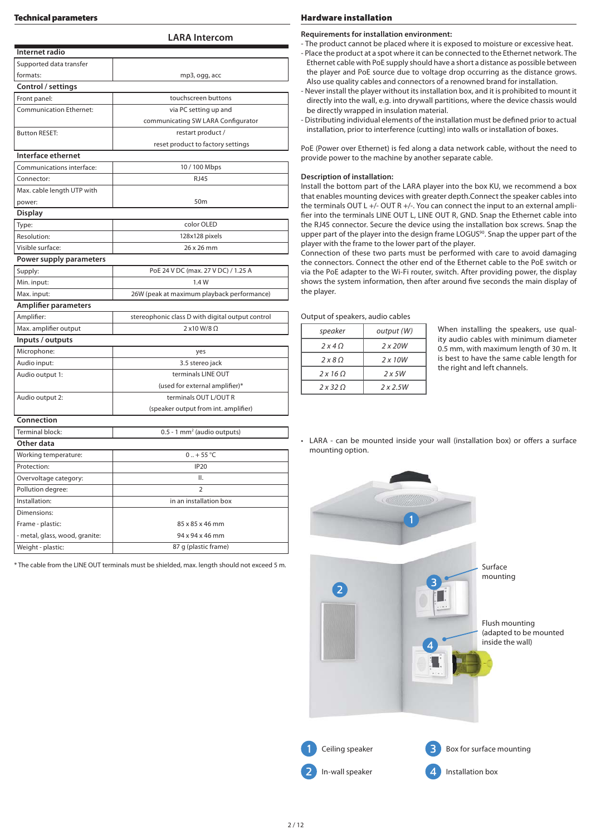**LARA Intercom**

| Internet radio                 |                                                  |  |  |  |  |  |  |
|--------------------------------|--------------------------------------------------|--|--|--|--|--|--|
| Supported data transfer        |                                                  |  |  |  |  |  |  |
| formats:                       | mp3, ogg, acc                                    |  |  |  |  |  |  |
| Control / settings             |                                                  |  |  |  |  |  |  |
| Front panel:                   | touchscreen buttons                              |  |  |  |  |  |  |
| <b>Communication Ethernet:</b> | via PC setting up and                            |  |  |  |  |  |  |
|                                | communicating SW LARA Configurator               |  |  |  |  |  |  |
| <b>Button RESET:</b>           | restart product /                                |  |  |  |  |  |  |
|                                | reset product to factory settings                |  |  |  |  |  |  |
| Interface ethernet             |                                                  |  |  |  |  |  |  |
| Communications interface:      | 10 / 100 Mbps                                    |  |  |  |  |  |  |
| Connector:                     | <b>RJ45</b>                                      |  |  |  |  |  |  |
| Max. cable length UTP with     |                                                  |  |  |  |  |  |  |
| power:                         | 50m                                              |  |  |  |  |  |  |
| Display                        |                                                  |  |  |  |  |  |  |
| Type:                          | color OLED                                       |  |  |  |  |  |  |
| Resolution:                    | 128x128 pixels                                   |  |  |  |  |  |  |
| Visible surface:               | 26 x 26 mm                                       |  |  |  |  |  |  |
| Power supply parameters        |                                                  |  |  |  |  |  |  |
| Supply:                        | PoE 24 V DC (max. 27 V DC) / 1.25 A              |  |  |  |  |  |  |
| Min. input:                    | 1.4 W                                            |  |  |  |  |  |  |
| Max. input:                    | 26W (peak at maximum playback performance)       |  |  |  |  |  |  |
| <b>Amplifier parameters</b>    |                                                  |  |  |  |  |  |  |
| Amplifier:                     | stereophonic class D with digital output control |  |  |  |  |  |  |
| Max. amplifier output          | 2 x10 W/8 Ω                                      |  |  |  |  |  |  |
| Inputs / outputs               |                                                  |  |  |  |  |  |  |
| Microphone:                    | yes                                              |  |  |  |  |  |  |
| Audio input:                   | 3.5 stereo jack                                  |  |  |  |  |  |  |
| Audio output 1:                | terminals LINE OUT                               |  |  |  |  |  |  |
|                                | (used for external amplifier)*                   |  |  |  |  |  |  |
| Audio output 2:                | terminals OUT L/OUT R                            |  |  |  |  |  |  |
|                                | (speaker output from int. amplifier)             |  |  |  |  |  |  |
| Connection                     |                                                  |  |  |  |  |  |  |
| Terminal block:                | 0.5 - 1 mm <sup>2</sup> (audio outputs)          |  |  |  |  |  |  |
| Other data                     |                                                  |  |  |  |  |  |  |
| Working temperature:           | $0.1 + 55$ °C                                    |  |  |  |  |  |  |
| Protection:                    | <b>IP20</b>                                      |  |  |  |  |  |  |
| Overvoltage category:          | ΙΙ.                                              |  |  |  |  |  |  |
| Pollution degree:              | $\overline{2}$                                   |  |  |  |  |  |  |
| Installation:                  | in an installation box                           |  |  |  |  |  |  |
| Dimensions:                    |                                                  |  |  |  |  |  |  |
| Frame - plastic:               | 85 x 85 x 46 mm                                  |  |  |  |  |  |  |
| - metal, glass, wood, granite: | 94 x 94 x 46 mm                                  |  |  |  |  |  |  |
| Weight - plastic:              | 87 g (plastic frame)                             |  |  |  |  |  |  |

\* The cable from the LINE OUT terminals must be shielded, max. length should not exceed 5 m.

#### **Requirements for installation environment:**

- The product cannot be placed where it is exposed to moisture or excessive heat.

- Place the product at a spot where it can be connected to the Ethernet network. The Ethernet cable with PoE supply should have a short a distance as possible between the player and PoE source due to voltage drop occurring as the distance grows. Also use quality cables and connectors of a renowned brand for installation.
- Never install the player without its installation box, and it is prohibited to mount it directly into the wall, e.g. into drywall partitions, where the device chassis would be directly wrapped in insulation material.
- Distributing individual elements of the installation must be defined prior to actual installation, prior to interference (cutting) into walls or installation of boxes.

PoE (Power over Ethernet) is fed along a data network cable, without the need to provide power to the machine by another separate cable.

#### **Description of installation:**

Install the bottom part of the LARA player into the box KU, we recommend a box that enables mounting devices with greater depth.Connect the speaker cables into the terminals OUT L +/- OUT R +/-. You can connect the input to an external amplifier into the terminals LINE OUT L, LINE OUT R, GND. Snap the Ethernet cable into the RJ45 connector. Secure the device using the installation box screws. Snap the upper part of the player into the design frame LOGUS<sup>90</sup>. Snap the upper part of the player with the frame to the lower part of the player.

Connection of these two parts must be performed with care to avoid damaging the connectors. Connect the other end of the Ethernet cable to the PoE switch or via the PoE adapter to the Wi-Fi router, switch. After providing power, the display shows the system information, then after around five seconds the main display of the player.

Output of speakers, audio cables

| speaker             | output (W)     |  |  |
|---------------------|----------------|--|--|
| 2x40                | $2 \times 20W$ |  |  |
| $2 \times 8 \Omega$ | $2 \times 10W$ |  |  |
| 2x160               | 2x5W           |  |  |
| 2x320               | 2x2.5W         |  |  |

When installing the speakers, use quality audio cables with minimum diameter 0.5 mm, with maximum length of 30 m. It is best to have the same cable length for the right and left channels.

• LARA - can be mounted inside your wall (installation box) or offers a surface mounting option.

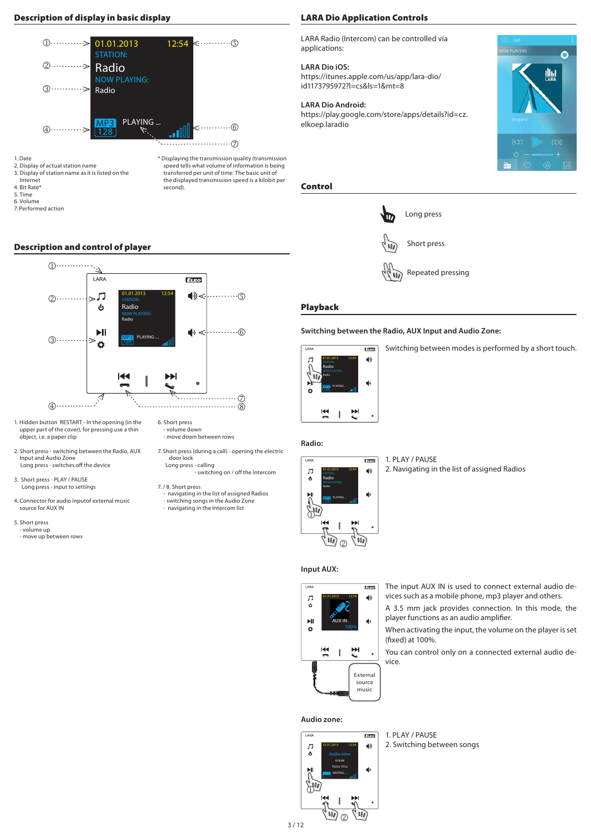# **Description of display in basic display**



second).

1. Date

2. Display of actual station name 3. Display of station name as it is listed on the

Internet 4. Bit Rate\*

5. Time

6. Volume

7. Performed action

# **Description and control of player**



6. Short press - volume down - move down between rows

door lock Long press - calling

7. / 8. Short press

7. Short press (during a call) - opening the electric

transferred per unit of time. The basic unit of the displayed transmission speed is a kilobit per

- navigating in the list of assigned Radios - switching songs in the Audio Zone - navigating in the Intercom list

- switching on / off the Intercom

- 1. Hidden button RESTART In the opening (in the upper part of the cover), for pressing use a thin object, i.e. a paper clip
- 2. Short press switching between the Radio, AUX Input and Audio Zone Long press - switches off the device
- 3. Short press PLAY / PAUSE Long press - input to settings
- 4. Connector for audio inputof external music source for AUX IN
- 5. Short press - volume up
	- move up between rows

## **LARA Dio Application Controls**

LARA Radio (Intercom) can be controlled via applications:

## **LARA Dio iOS:**

https://itunes.apple.com/us/app/lara-dio/ id1173795972?l=cs&ls=1&mt=8

## **LARA Dio Android:**

https://play.google.com/store/apps/details?id=cz. elkoep.laradio



# **Control**



Repeated pressing

# **Playback**

# **Switching between the Radio, AUX Input and Audio Zone:**



Switching between modes is performed by a short touch.

# **Radio:**



1. PLAY / PAUSE

## 2. Navigating in the list of assigned Radios

**Input AUX:**



The input AUX IN is used to connect external audio devices such as a mobile phone, mp3 player and others.

A 3.5 mm jack provides connection. In this mode, the player functions as an audio amplifier.

When activating the input, the volume on the player is set (fixed) at 100%.

You can control only on a connected external audio device.

#### **Audio zone:**



1. PLAY / PAUSE 2. Switching between songs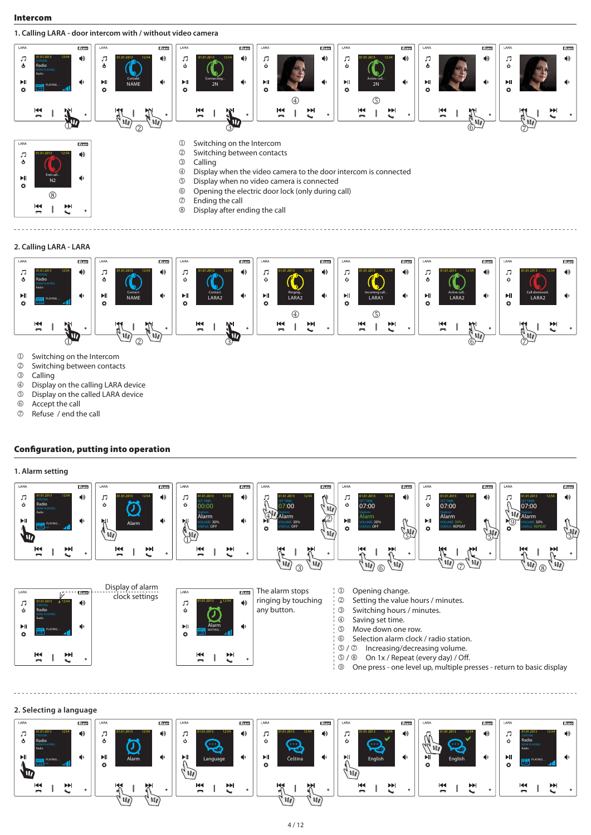#### **Intercom**

**1. Calling LARA - door intercom with / without video camera**



#### **2. Calling LARA - LARA**



- **1** Switching on the Intercom<br> **2** Switching between contact
- <sup>2</sup> Switching between contacts<br><sup>3</sup> Calling
- **3** Calling<br>**4** Display
- *①* Display on the calling LARA device<br>**②** Display on the called LARA device
- Display on the called LARA device
- $\circled{a}$  Accept the call<br> $\circled{b}$  Refuse / end the
- Refuse / end the call

## **Configuration, putting into operation**

## **1. Alarm setting**





#### **2. Selecting a language**

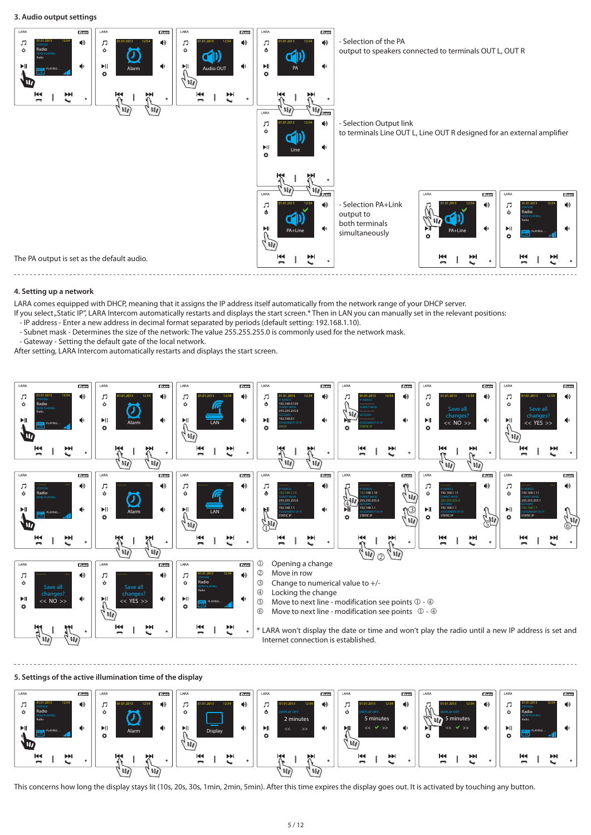

#### **4. Setting up a network**

LARA comes equipped with DHCP, meaning that it assigns the IP address itself automatically from the network range of your DHCP server.

If you select "Static IP", LARA Intercom automatically restarts and displays the start screen.\* Then in LAN you can manually set in the relevant positions:

- IP address - Enter a new address in decimal format separated by periods (default setting: 192.168.1.10).

- Subnet mask - Determines the size of the network: The value 255.255.255.0 is commonly used for the network mask.

- Gateway - Setting the default gate of the local network.

After setting, LARA Intercom automatically restarts and displays the start screen.



#### **5. Settings of the active illumination time of the display**



This concerns how long the display stays lit (10s, 20s, 30s, 1min, 2min, 5min). After this time expires the display goes out. It is activated by touching any button.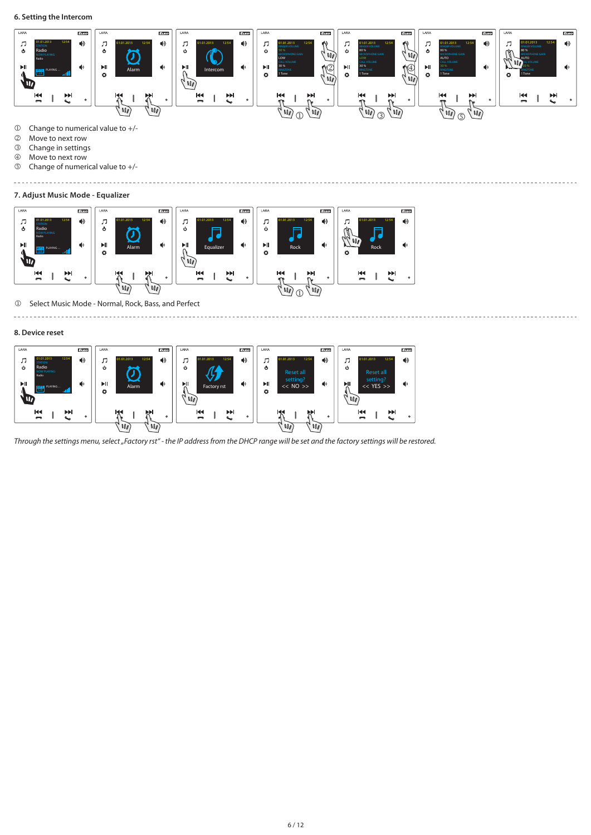

. . . . . . . . . . .

- **Change to numerical value to +/-**<br> **C** Move to next row
- **2** Move to next row<br>**3** Change in setting
- **3** Change in settings<br>**4** Move to next row

 $\sim$   $\sim$   $\sim$ 

- **4** Move to next row<br>**5** Change of numeri
- Change of numerical value to +/- ----------------------

#### **7. Adjust Music Mode - Equalizer**



Select Music Mode - Normal, Rock, Bass, and Perfect 

#### **8. Device reset**

 $\sim$ 



Through the settings menu, select "Factory rst" - the IP address from the DHCP range will be set and the factory settings will be restored.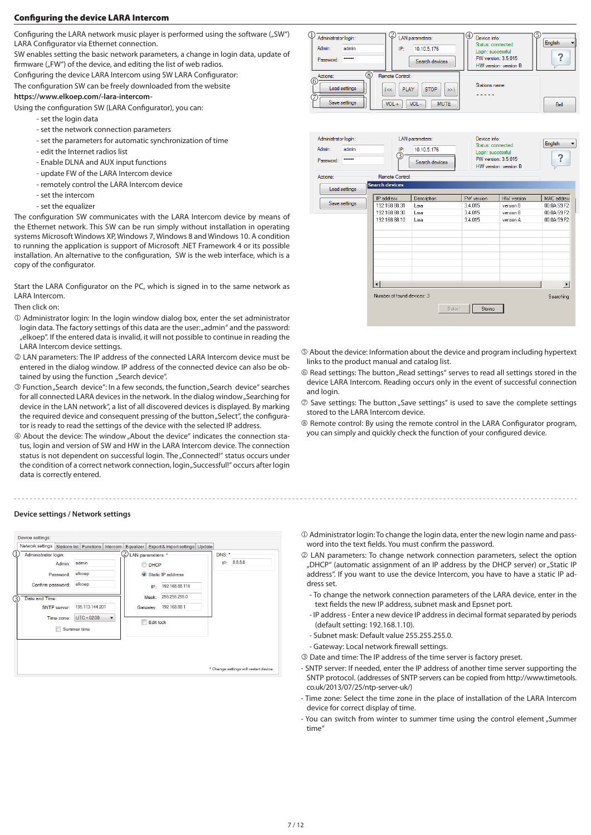## **Configuring the device LARA Intercom**

Configuring the LARA network music player is performed using the software ("SW") LARA Configurator via Ethernet connection.

SW enables setting the basic network parameters, a change in login data, update of firmware ("FW") of the device, and editing the list of web radios.

Configuring the device LARA Intercom using SW LARA Configurator:

The configuration SW can be freely downloaded from the website

#### **https://www.elkoep.com/-lara-intercom-**

Using the configuration SW (LARA Configurator), you can:

- set the login data
- set the network connection parameters
- set the parameters for automatic synchronization of time
- edit the Internet radios list
- Enable DLNA and AUX input functions
- update FW of the LARA Intercom device
- remotely control the LARA Intercom device
- set the intercom
- set the equalizer

The configuration SW communicates with the LARA Intercom device by means of the Ethernet network. This SW can be run simply without installation in operating systems Microsoft Windows XP, Windows 7, Windows 8 and Windows 10. A condition to running the application is support of Microsoft .NET Framework 4 or its possible installation. An alternative to the configuration, SW is the web interface, which is a copy of the configurator.

Start the LARA Configurator on the PC, which is signed in to the same network as LARA Intercom.

Then click on:

- Administrator login: In the login window dialog box, enter the set administrator login data. The factory settings of this data are the user: "admin" and the password: "elkoep". If the entered data is invalid, it will not possible to continue in reading the LARA Intercom device settings.
- LAN parameters: The IP address of the connected LARA Intercom device must be entered in the dialog window. IP address of the connected device can also be obtained by using the function ... Search device".
- <sup>3</sup> Function "Search device": In a few seconds, the function "Search device" searches for all connected LARA devices in the network. In the dialog window "Searching for device in the LAN network", a list of all discovered devices is displayed. By marking the required device and consequent pressing of the button "Select", the configurator is ready to read the settings of the device with the selected IP address.
- About the device: The window "About the device" indicates the connection status, login and version of SW and HW in the LARA Intercom device. The connection status is not dependent on successful login. The "Connected!" status occurs under the condition of a correct network connection, login "Successful!" occurs after login data is correctly entered.

#### **Device settings / Network settings**

| Administrator login: |                 | LAN parameters: * |                   | DNS: * |         |
|----------------------|-----------------|-------------------|-------------------|--------|---------|
| admin<br>Admin:      |                 | <b>DHCP</b>       |                   | IP:    | 8.8.8.8 |
| Password:            | elkoep          |                   | Static IP address |        |         |
| Confirm password:    | elkoep          | IP:               | 192.168.88.115    |        |         |
| Date and Time:       |                 | Mask:             | 255.255.255.0     |        |         |
| SNTP server:         | 195.113.144.201 | Gateway:          | 192.168.88.1      |        |         |
| Time zone:           | $UTC + 02:00$   | Edit lock         |                   |        |         |
| Summer time          |                 |                   |                   |        |         |
|                      |                 |                   |                   |        |         |
|                      |                 |                   |                   |        |         |





- About the device: Information about the device and program including hypertext links to the product manual and catalog list.
- $@$  Read settings: The button "Read settings" serves to read all settings stored in the device LARA Intercom. Reading occurs only in the event of successful connection and login.
- $<sup>①</sup>$  Save settings: The button "Save settings" is used to save the complete settings</sup> stored to the LARA Intercom device.
- ® Remote control: By using the remote control in the LARA Configurator program, you can simply and quickly check the function of your configured device.

- Administrator login: To change the login data, enter the new login name and password into the text fields. You must confirm the password.
- LAN parameters: To change network connection parameters, select the option "DHCP" (automatic assignment of an IP address by the DHCP server) or "Static IP address". If you want to use the device Intercom, you have to have a static IP address set.
	- To change the network connection parameters of the LARA device, enter in the text fields the new IP address, subnet mask and Epsnet port.
	- IP address Enter a new device IP address in decimal format separated by periods (default setting: 192.168.1.10).
	- Subnet mask: Default value 255.255.255.0.
	- Gateway: Local network firewall settings.
- Date and time: The IP address of the time server is factory preset.
- SNTP server: If needed, enter the IP address of another time server supporting the SNTP protocol. (addresses of SNTP servers can be copied from http://www.timetools. co.uk/2013/07/25/ntp-server-uk/)
- Time zone: Select the time zone in the place of installation of the LARA Intercom device for correct display of time.
- You can switch from winter to summer time using the control element "Summer time"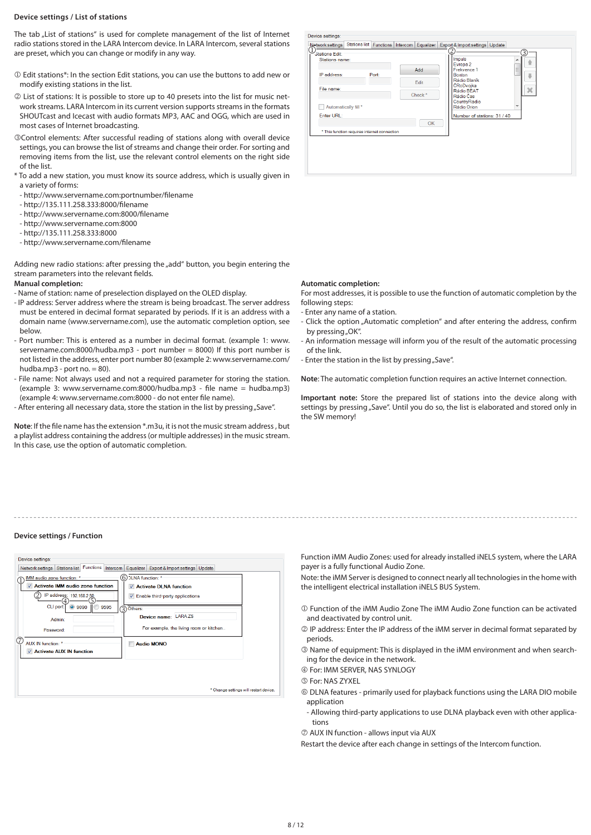#### **Device settings / List of stations**

The tab "List of stations" is used for complete management of the list of Internet radio stations stored in the LARA Intercom device. In LARA Intercom, several stations are preset, which you can change or modify in any way.

- Edit stations\*: In the section Edit stations, you can use the buttons to add new or modify existing stations in the list.
- List of stations: It is possible to store up to 40 presets into the list for music network streams. LARA Intercom in its current version supports streams in the formats SHOUTcast and Icecast with audio formats MP3, AAC and OGG, which are used in most cases of Internet broadcasting.
- Control elements: After successful reading of stations along with overall device settings, you can browse the list of streams and change their order. For sorting and removing items from the list, use the relevant control elements on the right side of the list.
- \* To add a new station, you must know its source address, which is usually given in a variety of forms:
- http://www.servername.com:portnumber/filename
- http://135.111.258.333:8000/fi lename
- http://www.servername.com:8000/fi lename
- http://www.servername.com:8000
- http://135.111.258.333:8000
- http://www.servername.com/filename

Adding new radio stations: after pressing the "add" button, you begin entering the stream parameters into the relevant fields.

#### **Manual completion:**

- Name of station: name of preselection displayed on the OLED display.
- IP address: Server address where the stream is being broadcast. The server address must be entered in decimal format separated by periods. If it is an address with a domain name (www.servername.com), use the automatic completion option, see below.
- Port number: This is entered as a number in decimal format. (example 1: www. servername.com:8000/hudba.mp3 - port number = 8000) If this port number is not listed in the address, enter port number 80 (example 2: www.servername.com/ hudba.mp3 - port no.  $= 80$ ).
- File name: Not always used and not a required parameter for storing the station. (example 3: www.servername.com:8000/hudba.mp3 - file name = hudba.mp3) (example 4: www.servername.com:8000 - do not enter file name).
- After entering all necessary data, store the station in the list by pressing "Save".

**Note**: If the file name has the extension \*.m3u, it is not the music stream address, but a playlist address containing the address (or multiple addresses) in the music stream. In this case, use the option of automatic completion.

| Stations Edit:<br>Stations name: |                                              | Add                | Impuls<br>Evropa 2<br>Frekvence 1    | 3<br>1<br>Ξ           |
|----------------------------------|----------------------------------------------|--------------------|--------------------------------------|-----------------------|
| IP address:                      | Port:                                        | Edit               | <b>Bonton</b><br>Rádio Blaník        | a                     |
| File name:                       |                                              | Check <sup>*</sup> | ČRoDvojka<br>Rádio BEAT<br>Rádio Čas | $\boldsymbol{\times}$ |
| Automatically fill *             |                                              |                    | CountryRadio<br>Rádio Orion          | ÷                     |
| Enter URL:                       |                                              | OK                 | Number of stations: 31 / 40          |                       |
|                                  | * This function requires internet connection |                    |                                      |                       |
|                                  |                                              |                    |                                      |                       |

#### **Automatic completion:**

For most addresses, it is possible to use the function of automatic completion by the following steps:

- Enter any name of a station.
- Click the option "Automatic completion" and after entering the address, confirm by pressing "OK".
- An information message will inform you of the result of the automatic processing of the link.
- Enter the station in the list by pressing "Save".

**Note**: The automatic completion function requires an active Internet connection.

**Important note:** Store the prepared list of stations into the device along with settings by pressing "Save". Until you do so, the list is elaborated and stored only in the SW memory!

#### **Device settings / Function**

| Device settings:                                        |                                                |  |
|---------------------------------------------------------|------------------------------------------------|--|
| Stations list Functions<br>Network settings<br>Intercom | Equalizer<br>Export & Import settings   Update |  |
| IMM audio zone function: *                              | 6) DLNA function: *                            |  |
| <b>Activate IMM audio zone function</b><br>$\checkmark$ | √ Activate DLNA function                       |  |
| IP address: 192 168 2 80                                | $\checkmark$ Enable third-party applications   |  |
| CLI port:<br>9595<br><b>3090</b>                        | $\mathfrak{D}$<br>Others:                      |  |
| Admin:                                                  | Device name: LARAZS                            |  |
| Password:                                               | For example, the living room or kitchen        |  |
| (7)<br>AUX IN function: *                               | <b>Audio MONO</b>                              |  |
| Activate AUX IN function                                |                                                |  |
|                                                         |                                                |  |
|                                                         |                                                |  |
|                                                         | * Change settings will restart device.         |  |

Function iMM Audio Zones: used for already installed iNELS system, where the LARA payer is a fully functional Audio Zone.

Note: the iMM Server is designed to connect nearly all technologies in the home with the intelligent electrical installation iNELS BUS System.

- Function of the iMM Audio Zone The iMM Audio Zone function can be activated and deactivated by control unit.
- IP address: Enter the IP address of the iMM server in decimal format separated by periods.
- Name of equipment: This is displayed in the iMM environment and when searching for the device in the network.
- For: IMM SERVER, NAS SYNLOGY
- For: NAS ZYXEL
- DLNA features primarily used for playback functions using the LARA DIO mobile application
- Allowing third-party applications to use DLNA playback even with other applications
- AUX IN function allows input via AUX
- Restart the device after each change in settings of the Intercom function.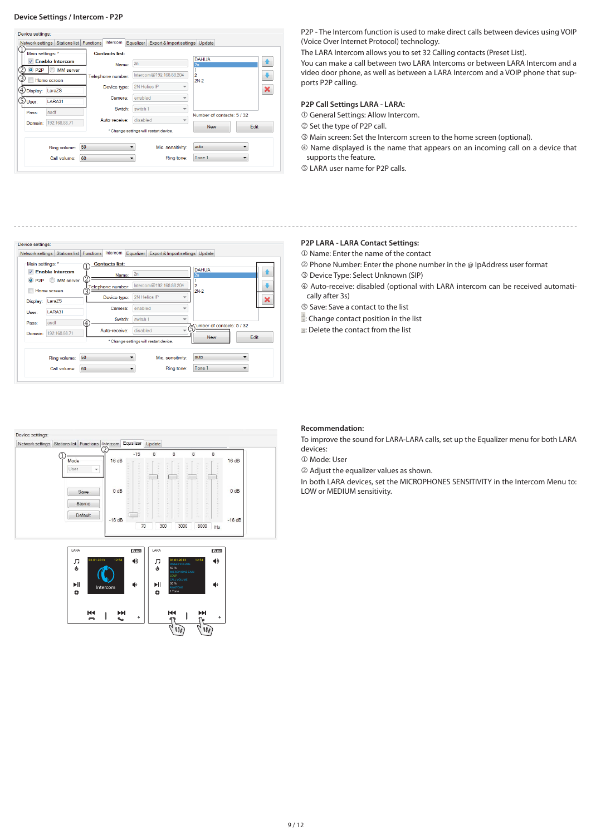#### **Device Settings / Intercom - P2P**



P2P - The Intercom function is used to make direct calls between devices using VOIP (Voice Over Internet Protocol) technology.

The LARA Intercom allows you to set 32 Calling contacts (Preset List).

You can make a call between two LARA Intercoms or between LARA Intercom and a video door phone, as well as between a LARA Intercom and a VOIP phone that supports P2P calling.

# **P2P Call Settings LARA - LARA:**

General Settings: Allow Intercom.

- 2 Set the type of P2P call.
- Main screen: Set the Intercom screen to the home screen (optional).
- Name displayed is the name that appears on an incoming call on a device that supports the feature.
- LARA user name for P2P calls.

## **P2P LARA - LARA Contact Settings:**

- Name: Enter the name of the contact
- Phone Number: Enter the phone number in the @ IpAddress user format
- Device Type: Select Unknown (SIP)
- Auto-receive: disabled (optional with LARA intercom can be received automatically after 3s)
- Save: Save a contact to the list
- : Change contact position in the list
- **E:** Delete the contact from the list







#### **Recommendation:**

To improve the sound for LARA-LARA calls, set up the Equalizer menu for both LARA devices:

Mode: User

Adjust the equalizer values as shown.

In both LARA devices, set the MICROPHONES SENSITIVITY in the Intercom Menu to: LOW or MEDIUM sensitivity.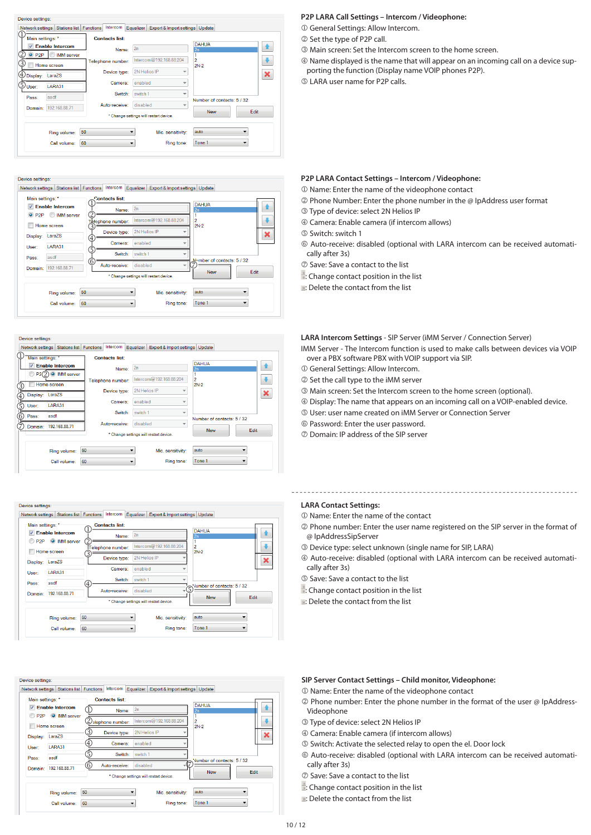

#### Device settings:

Network settings Stations list Functions Intercom Equalizer Export & Import settings Update



#### Device settings

Network settings | Stations list | Functions | Intercom | Equalizer | Export & Import settings | Update



#### Device settings

Network settings Stations list Functions Intercom Equalizer Export & Import settings Update



#### Device settings

Network settings Stations list Functions Intercom Equalizer Export & Import settings Update

| Main settings: *         |                        |                   | <b>Contacts list:</b> |                                        |                   |                            |             |
|--------------------------|------------------------|-------------------|-----------------------|----------------------------------------|-------------------|----------------------------|-------------|
| $\overline{\mathcal{L}}$ | <b>Enable Intercom</b> |                   | Name:                 | 2n                                     |                   | <b>DAHUA</b><br>2n         |             |
|                          | P2P O IMM server       |                   | slephone number:      | Intercom@192.168.88.204                |                   | $\overline{a}$             |             |
| Display:                 | Home screen<br>LaraZS  | 3                 | Device type:          | 2N Helios IP                           |                   | $2N-2$                     | ×           |
| User:                    | LARA31                 | $\left( 4\right)$ | Camera:               | enabled                                |                   |                            |             |
| Pass:                    | asdf                   | 3                 | Switch:               | switch 1                               |                   | Number of contacts: 5 / 32 |             |
| Domain:                  | 192.168.88.71          | 6                 | Auto-receive:         | disabled                               |                   |                            |             |
|                          |                        |                   |                       | * Change settings will restart device. |                   | <b>New</b>                 | <b>Edit</b> |
|                          | Ring volume:           | 50                |                       |                                        | Mic. sensitivity: | auto                       |             |
|                          | Call volume:           | 60                |                       |                                        | Ring tone:        | Tone 1                     |             |

#### **P2P LARA Call Settings – Intercom / Videophone:**

General Settings: Allow Intercom.

- 2 Set the type of P2P call.
- Main screen: Set the Intercom screen to the home screen.
- Name displayed is the name that will appear on an incoming call on a device sup-
- porting the function (Display name VOIP phones P2P).
- LARA user name for P2P calls.

### **P2P LARA Contact Settings – Intercom / Videophone:**

- Name: Enter the name of the videophone contact
- Phone Number: Enter the phone number in the @ IpAddress user format
- Type of device: select 2N Helios IP
- Camera: Enable camera (if intercom allows)
- Switch: switch 1
- Auto-receive: disabled (optional with LARA intercom can be received automatically after 3s)
- Save: Save a contact to the list
- : Change contact position in the list
- **E:** Delete the contact from the list

**LARA Intercom Settings** - SIP Server (iMM Server / Connection Server) IMM Server - The Intercom function is used to make calls between devices via VOIP

- over a PBX software PBX with VOIP support via SIP.
- General Settings: Allow Intercom.
- 2 Set the call type to the iMM server
- Main screen: Set the Intercom screen to the home screen (optional).
- Display: The name that appears on an incoming call on a VOIP-enabled device.
- User: user name created on iMM Server or Connection Server
- Password: Enter the user password.
- Domain: IP address of the SIP server

## **LARA Contact Settings:**

- Name: Enter the name of the contact
- Phone number: Enter the user name registered on the SIP server in the format of @ IpAddressSipServer
- Device type: select unknown (single name for SIP, LARA)

- Auto-receive: disabled (optional with LARA intercom can be received automatically after 3s)
- Save: Save a contact to the list
- : Change contact position in the list
- **E:** Delete the contact from the list

# **SIP Server Contact Settings – Child monitor, Videophone:**

- Name: Enter the name of the videophone contact
- Phone number: Enter the phone number in the format of the user @ IpAddress-Videophone
- Type of device: select 2N Helios IP
- Camera: Enable camera (if intercom allows)
- Switch: Activate the selected relay to open the el. Door lock
- Auto-receive: disabled (optional with LARA intercom can be received automatically after 3s)
- Save: Save a contact to the list
- : Change contact position in the list
- **E:** Delete the contact from the list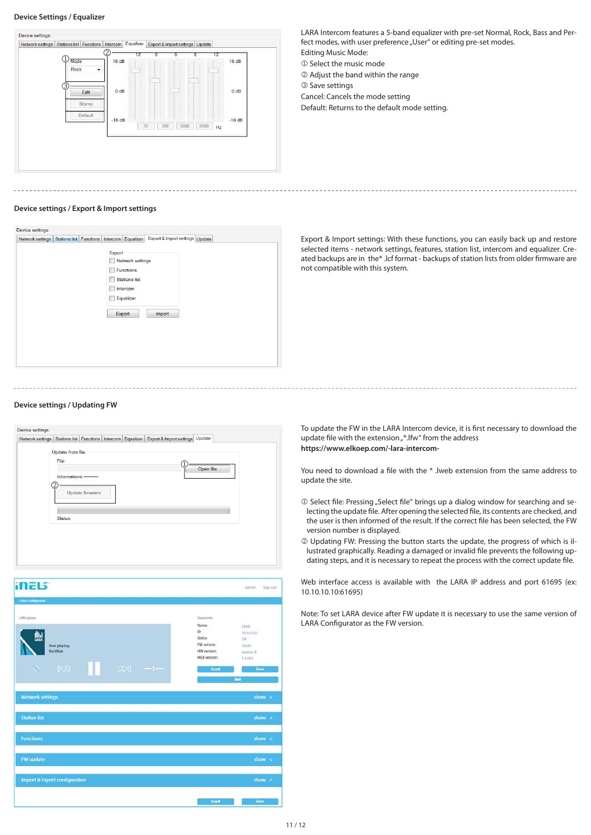#### **Device Settings / Equalizer**

## Device settings Network settings Stations list Functions | Intercom Equalizer Export & Import settings | Update  $\frac{1}{\frac{1}{\sqrt{100}}\sqrt{16}}$  16 dE  $16dB$ ඉ Edit  $0dF$  $0<sub>dB</sub>$ Storno Default  $-16dB$  $-16dB$ 70 300 3000 8000 Hz

LARA Intercom features a 5-band equalizer with pre-set Normal, Rock, Bass and Perfect modes, with user preference "User" or editing pre-set modes.

Editing Music Mode:  $\mathbb O$  Select the music mode

Adjust the band within the range

**3** Save settings

Cancel: Cancels the mode setting

Default: Returns to the default mode setting.

#### **Device settings / Export & Import settings**

| Device settings:                                                |                                                                                                                        |                                 |  |
|-----------------------------------------------------------------|------------------------------------------------------------------------------------------------------------------------|---------------------------------|--|
| Network settings Stations list Functions   Intercom   Equalizer |                                                                                                                        | Export & Import settings Update |  |
|                                                                 | Export<br>Network settings<br>г<br>Functions<br><b>Stations list</b><br>Г<br>г<br>Intercom<br>Equalizer<br>O<br>Export | Import                          |  |

Export & Import settings: With these functions, you can easily back up and restore selected items - network settings, features, station list, intercom and equalizer. Created backups are in the\* .lcf format - backups of station lists from older firmware are not compatible with this system.

## **Device settings / Updating FW**



To update the FW in the LARA Intercom device, it is first necessary to download the update file with the extension "\*.lfw" from the address **https://www.elkoep.com/-lara-intercom-**

You need to download a file with the \* .lweb extension from the same address to update the site.

- $\mathbb D$  Select file: Pressing "Select file" brings up a dialog window for searching and selecting the update file. After opening the selected file, its contents are checked, and the user is then informed of the result. If the correct file has been selected, the FW version number is displayed.
- Updating FW: Pressing the button starts the update, the progress of which is illustrated graphically. Reading a damaged or invalid file prevents the following updating steps, and it is necessary to repeat the process with the correct update file.

Web interface access is available with the LARA IP address and port 61695 (ex: 10.10.10.10:61695)

Note: To set LARA device after FW update it is necessary to use the same version of LARA Configurator as the FW version.